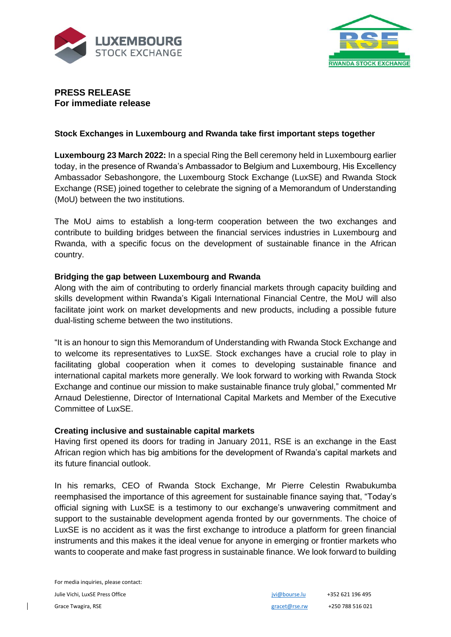



# **PRESS RELEASE For immediate release**

## **Stock Exchanges in Luxembourg and Rwanda take first important steps together**

**Luxembourg 23 March 2022:** In a special Ring the Bell ceremony held in Luxembourg earlier today, in the presence of Rwanda's Ambassador to Belgium and Luxembourg, His Excellency Ambassador Sebashongore, the Luxembourg Stock Exchange (LuxSE) and Rwanda Stock Exchange (RSE) joined together to celebrate the signing of a Memorandum of Understanding (MoU) between the two institutions.

The MoU aims to establish a long-term cooperation between the two exchanges and contribute to building bridges between the financial services industries in Luxembourg and Rwanda, with a specific focus on the development of sustainable finance in the African country.

## **Bridging the gap between Luxembourg and Rwanda**

Along with the aim of contributing to orderly financial markets through capacity building and skills development within Rwanda's Kigali International Financial Centre, the MoU will also facilitate joint work on market developments and new products, including a possible future dual-listing scheme between the two institutions.

"It is an honour to sign this Memorandum of Understanding with Rwanda Stock Exchange and to welcome its representatives to LuxSE. Stock exchanges have a crucial role to play in facilitating global cooperation when it comes to developing sustainable finance and international capital markets more generally. We look forward to working with Rwanda Stock Exchange and continue our mission to make sustainable finance truly global," commented Mr Arnaud Delestienne, Director of International Capital Markets and Member of the Executive Committee of LuxSE.

## **Creating inclusive and sustainable capital markets**

Having first opened its doors for trading in January 2011, RSE is an exchange in the East African region which has big ambitions for the development of Rwanda's capital markets and its future financial outlook.

In his remarks, CEO of Rwanda Stock Exchange, Mr Pierre Celestin Rwabukumba reemphasised the importance of this agreement for sustainable finance saying that, "Today's official signing with LuxSE is a testimony to our exchange's unwavering commitment and support to the sustainable development agenda fronted by our governments. The choice of LuxSE is no accident as it was the first exchange to introduce a platform for green financial instruments and this makes it the ideal venue for anyone in emerging or frontier markets who wants to cooperate and make fast progress in sustainable finance. We look forward to building